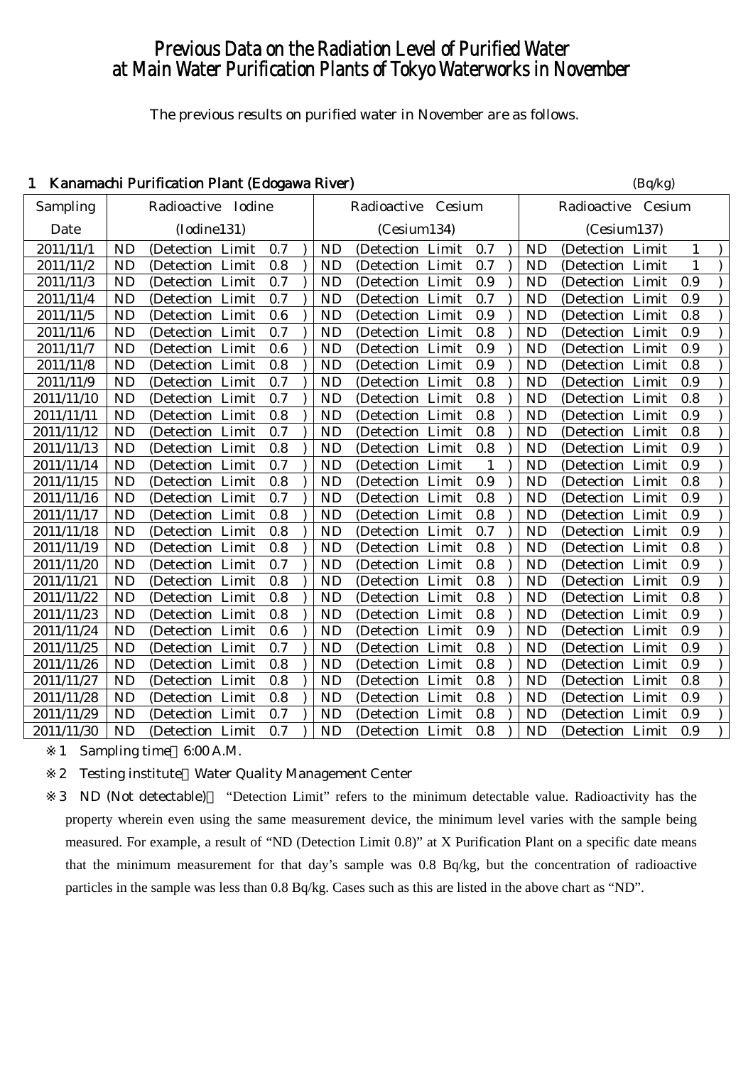# Previous Data on the Radiation Level of Purified Water at Main Water Purification Plants of Tokyo Waterworks in November

The previous results on purified water in November are as follows.

## 1 Kanamachi Purification Plant (Edogawa River) (Bq/kg)

|            |           |                       |     |           |                      |                |                |                    | $-1 - 0$ |              |
|------------|-----------|-----------------------|-----|-----------|----------------------|----------------|----------------|--------------------|----------|--------------|
| Sampling   |           | Radioactive Iodine    |     |           | Radioactive Cesium   |                |                | Radioactive Cesium |          |              |
| Date       |           | (Iodine131)           |     |           | (Cesium134)          |                |                | (Cesium137)        |          |              |
| 2011/11/1  | <b>ND</b> | (Detection Limit)     | 0.7 | <b>ND</b> | (Detection Limit     | 0.7            | <b>ND</b>      | (Detection Limit   |          | $\mathbf{1}$ |
| 2011/11/2  | <b>ND</b> | (Detection Limit      | 0.8 | <b>ND</b> | (Detection Limit)    | 0.7            | <b>ND</b>      | (Detection Limit)  |          | $\mathbf{1}$ |
| 2011/11/3  | <b>ND</b> | (Detection Limit)     | 0.7 | <b>ND</b> | (Detection Limit     | 0.9            | <b>ND</b>      | (Detection Limit   |          | 0.9          |
| 2011/11/4  | <b>ND</b> | (Detection Limit)     | 0.7 | <b>ND</b> | (Detection Limit     | 0.7            | <b>ND</b>      | (Detection Limit)  |          | 0.9          |
| 2011/11/5  | <b>ND</b> | (Detection Limit      | 0.6 | <b>ND</b> | (Detection Limit)    | 0.9            | <b>ND</b>      | (Detection Limit   |          | 0.8          |
| 2011/11/6  | <b>ND</b> | (Detection Limit      | 0.7 | <b>ND</b> | (Detection Limit     | 0.8            | <b>ND</b>      | (Detection Limit   |          | 0.9          |
| 2011/11/7  | <b>ND</b> | (Detection Limit      | 0.6 | <b>ND</b> | (Detection Limit     | 0.9            | <b>ND</b>      | (Detection Limit   |          | 0.9          |
| 2011/11/8  | <b>ND</b> | (Detection Limit      | 0.8 | <b>ND</b> | (Detection Limit     | 0.9            | <b>ND</b>      | (Detection Limit   |          | 0.8          |
| 2011/11/9  | <b>ND</b> | (Detection Limit)     | 0.7 | <b>ND</b> | (Detection Limit)    | 0.8            | <b>ND</b>      | (Detection Limit   |          | 0.9          |
| 2011/11/10 | <b>ND</b> | (Detection Limit      | 0.7 | <b>ND</b> | (Detection Limit     | 0.8            | <b>ND</b>      | (Detection Limit   |          | 0.8          |
| 2011/11/11 | <b>ND</b> | (Detection Limit      | 0.8 | <b>ND</b> | (Detection Limit     | 0.8            | <b>ND</b>      | (Detection Limit   |          | 0.9          |
| 2011/11/12 | <b>ND</b> | (Detection Limit      | 0.7 | <b>ND</b> | (Detection Limit     | 0.8            | <b>ND</b>      | (Detection Limit   |          | 0.8          |
| 2011/11/13 | <b>ND</b> | (Detection Limit      | 0.8 | <b>ND</b> | (Detection Limit     | 0.8            | <b>ND</b>      | (Detection Limit   |          | 0.9          |
| 2011/11/14 | <b>ND</b> | (Detection Limit)     | 0.7 | <b>ND</b> | (Detection Limit     | $\overline{1}$ | <b>ND</b>      | (Detection Limit   |          | 0.9          |
| 2011/11/15 | <b>ND</b> | (Detection Limit      | 0.8 | <b>ND</b> | (Detection Limit     | 0.9            | N <sub>D</sub> | (Detection Limit   |          | 0.8          |
| 2011/11/16 | <b>ND</b> | (Detection Limit      | 0.7 | <b>ND</b> | (Detection Limit     | 0.8            | <b>ND</b>      | (Detection Limit   |          | 0.9          |
| 2011/11/17 | <b>ND</b> | (Detection Limit      | 0.8 | <b>ND</b> | (Detection Limit     | 0.8            | <b>ND</b>      | (Detection Limit   |          | 0.9          |
| 2011/11/18 | <b>ND</b> | (Detection Limit      | 0.8 | <b>ND</b> | (Detection Limit     | 0.7            | <b>ND</b>      | (Detection Limit   |          | 0.9          |
| 2011/11/19 | <b>ND</b> | (Detection Limit)     | 0.8 | <b>ND</b> | (Detection Limit     | 0.8            | <b>ND</b>      | (Detection Limit   |          | 0.8          |
| 2011/11/20 | <b>ND</b> | (Detection Limit      | 0.7 | <b>ND</b> | (Detection Limit     | 0.8            | <b>ND</b>      | (Detection Limit   |          | 0.9          |
| 2011/11/21 | <b>ND</b> | (Detection Limit      | 0.8 | <b>ND</b> | (Detection Limit     | 0.8            | <b>ND</b>      | (Detection Limit   |          | 0.9          |
| 2011/11/22 | <b>ND</b> | (Detection Limit)     | 0.8 | <b>ND</b> | (Detection Limit     | 0.8            | <b>ND</b>      | (Detection Limit   |          | 0.8          |
| 2011/11/23 | <b>ND</b> | (Detection Limit      | 0.8 | <b>ND</b> | (Detection Limit     | 0.8            | <b>ND</b>      | (Detection Limit)  |          | 0.9          |
| 2011/11/24 | ND        | (Detection Limit)     | 0.6 | ND        | (Detection Limit     | 0.9            | <b>ND</b>      | (Detection Limit   |          | 0.9          |
| 2011/11/25 | <b>ND</b> | (Detection Limit      | 0.7 | <b>ND</b> | (Detection Limit     | 0.8            | <b>ND</b>      | (Detection Limit   |          | 0.9          |
| 2011/11/26 | <b>ND</b> | (Detection Limit      | 0.8 | <b>ND</b> | (Detection Limit     | 0.8            | <b>ND</b>      | (Detection Limit   |          | 0.9          |
| 2011/11/27 | <b>ND</b> | (Detection Limit      | 0.8 | <b>ND</b> | (Detection Limit     | 0.8            | <b>ND</b>      | (Detection Limit   |          | 0.8          |
| 2011/11/28 | <b>ND</b> | (Detection Limit      | 0.8 | <b>ND</b> | (Detection Limit     | 0.8            | <b>ND</b>      | (Detection Limit   |          | 0.9          |
| 2011/11/29 | <b>ND</b> | (Detection Limit      | 0.7 | <b>ND</b> | (Detection Limit     | 0.8            | <b>ND</b>      | (Detection Limit   |          | 0.9          |
| 2011/11/30 | <b>ND</b> | (Detection Limit 0.7) |     | <b>ND</b> | (Detection Limit 0.8 |                | <b>ND</b>      | (Detection Limit)  |          | 0.9          |

1 Sampling time 6:00 A.M.

2 Testing institute Water Quality Management Center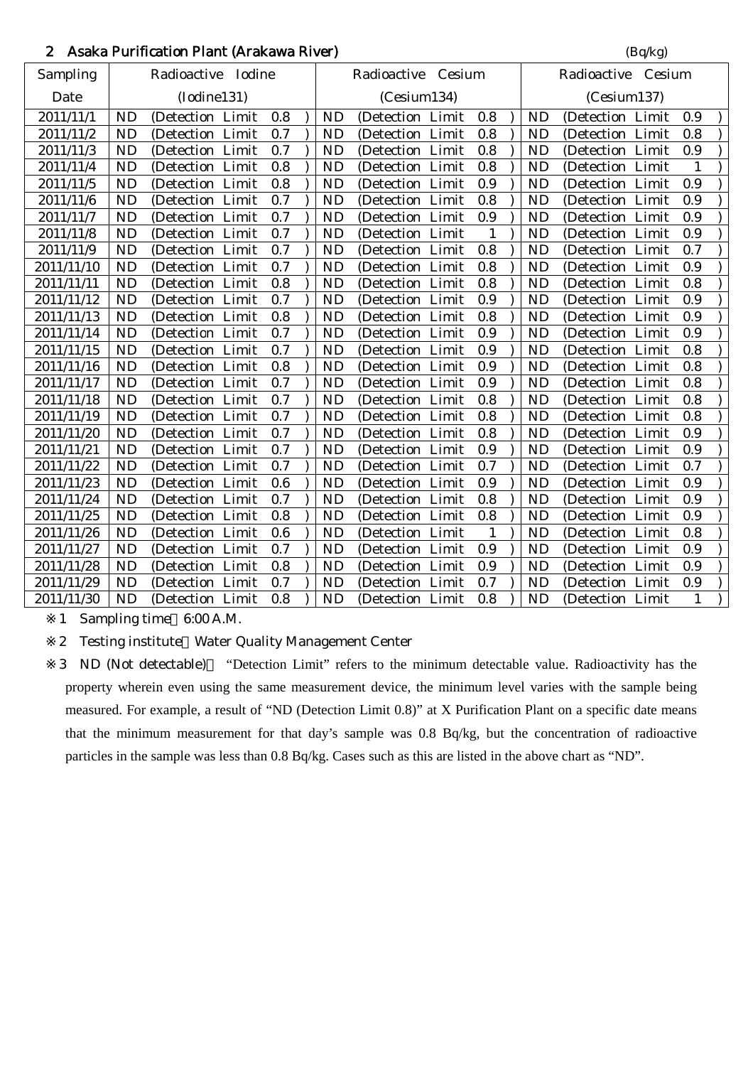# 2 Asaka Purification Plant (Arakawa River) (Bq/kg) (Bq/kg)

|            |           | $\ldots$           |     |           |                    |              |           | $(\mathbf{p}, \mathbf{p})$ |              |  |
|------------|-----------|--------------------|-----|-----------|--------------------|--------------|-----------|----------------------------|--------------|--|
| Sampling   |           | Radioactive Iodine |     |           | Radioactive Cesium |              |           | Radioactive Cesium         |              |  |
| Date       |           | (Iodine131)        |     |           | (Cesium134)        |              |           | (Cesium137)                |              |  |
| 2011/11/1  | <b>ND</b> | (Detection Limit   | 0.8 | <b>ND</b> | (Detection Limit   | 0.8          | <b>ND</b> | (Detection Limit           | 0.9          |  |
| 2011/11/2  | <b>ND</b> | (Detection Limit   | 0.7 | <b>ND</b> | (Detection Limit   | 0.8          | <b>ND</b> | (Detection Limit           | 0.8          |  |
| 2011/11/3  | <b>ND</b> | (Detection Limit   | 0.7 | <b>ND</b> | (Detection Limit   | 0.8          | <b>ND</b> | (Detection Limit           | 0.9          |  |
| 2011/11/4  | <b>ND</b> | (Detection Limit   | 0.8 | <b>ND</b> | (Detection Limit   | 0.8          | <b>ND</b> | (Detection Limit           | 1            |  |
| 2011/11/5  | <b>ND</b> | (Detection Limit   | 0.8 | <b>ND</b> | (Detection Limit   | 0.9          | <b>ND</b> | (Detection Limit           | 0.9          |  |
| 2011/11/6  | <b>ND</b> | (Detection Limit   | 0.7 | <b>ND</b> | (Detection Limit   | 0.8          | <b>ND</b> | (Detection Limit           | 0.9          |  |
| 2011/11/7  | <b>ND</b> | (Detection Limit   | 0.7 | <b>ND</b> | (Detection Limit   | 0.9          | <b>ND</b> | (Detection Limit           | 0.9          |  |
| 2011/11/8  | <b>ND</b> | (Detection Limit   | 0.7 | <b>ND</b> | (Detection Limit   | $\mathbf{1}$ | <b>ND</b> | (Detection Limit           | 0.9          |  |
| 2011/11/9  | <b>ND</b> | (Detection Limit   | 0.7 | <b>ND</b> | (Detection Limit   | 0.8          | <b>ND</b> | (Detection Limit           | 0.7          |  |
| 2011/11/10 | <b>ND</b> | (Detection Limit   | 0.7 | <b>ND</b> | (Detection Limit   | 0.8          | <b>ND</b> | (Detection Limit           | 0.9          |  |
| 2011/11/11 | <b>ND</b> | (Detection Limit   | 0.8 | <b>ND</b> | (Detection Limit   | 0.8          | <b>ND</b> | (Detection Limit           | 0.8          |  |
| 2011/11/12 | <b>ND</b> | (Detection Limit   | 0.7 | <b>ND</b> | (Detection Limit   | 0.9          | <b>ND</b> | (Detection Limit           | 0.9          |  |
| 2011/11/13 | <b>ND</b> | (Detection Limit   | 0.8 | <b>ND</b> | (Detection Limit   | 0.8          | <b>ND</b> | (Detection Limit           | 0.9          |  |
| 2011/11/14 | <b>ND</b> | (Detection Limit   | 0.7 | <b>ND</b> | (Detection Limit   | $0.9\,$      | <b>ND</b> | (Detection Limit           | 0.9          |  |
| 2011/11/15 | <b>ND</b> | (Detection Limit   | 0.7 | <b>ND</b> | (Detection Limit   | 0.9          | <b>ND</b> | (Detection Limit           | 0.8          |  |
| 2011/11/16 | <b>ND</b> | (Detection Limit   | 0.8 | <b>ND</b> | (Detection Limit   | 0.9          | <b>ND</b> | (Detection Limit           | 0.8          |  |
| 2011/11/17 | <b>ND</b> | (Detection Limit   | 0.7 | <b>ND</b> | (Detection Limit   | 0.9          | <b>ND</b> | (Detection Limit           | 0.8          |  |
| 2011/11/18 | <b>ND</b> | (Detection Limit   | 0.7 | <b>ND</b> | (Detection Limit   | 0.8          | <b>ND</b> | (Detection Limit           | 0.8          |  |
| 2011/11/19 | <b>ND</b> | (Detection Limit   | 0.7 | <b>ND</b> | (Detection Limit   | 0.8          | <b>ND</b> | (Detection Limit           | 0.8          |  |
| 2011/11/20 | <b>ND</b> | (Detection Limit   | 0.7 | <b>ND</b> | (Detection Limit   | 0.8          | <b>ND</b> | (Detection Limit           | 0.9          |  |
| 2011/11/21 | <b>ND</b> | (Detection Limit   | 0.7 | <b>ND</b> | (Detection Limit   | 0.9          | <b>ND</b> | (Detection Limit           | 0.9          |  |
| 2011/11/22 | <b>ND</b> | (Detection Limit   | 0.7 | <b>ND</b> | (Detection Limit   | 0.7          | <b>ND</b> | (Detection Limit           | 0.7          |  |
| 2011/11/23 | <b>ND</b> | (Detection Limit   | 0.6 | <b>ND</b> | (Detection Limit   | 0.9          | <b>ND</b> | (Detection Limit           | 0.9          |  |
| 2011/11/24 | <b>ND</b> | (Detection Limit   | 0.7 | <b>ND</b> | (Detection Limit   | 0.8          | ND        | (Detection Limit           | 0.9          |  |
| 2011/11/25 | <b>ND</b> | (Detection Limit   | 0.8 | <b>ND</b> | (Detection Limit   | 0.8          | <b>ND</b> | (Detection Limit           | 0.9          |  |
| 2011/11/26 | <b>ND</b> | (Detection Limit   | 0.6 | <b>ND</b> | (Detection Limit   | $\mathbf{1}$ | <b>ND</b> | (Detection Limit           | 0.8          |  |
| 2011/11/27 | <b>ND</b> | (Detection Limit   | 0.7 | <b>ND</b> | (Detection Limit   | 0.9          | <b>ND</b> | (Detection Limit           | 0.9          |  |
| 2011/11/28 | <b>ND</b> | (Detection Limit   | 0.8 | <b>ND</b> | (Detection Limit   | 0.9          | <b>ND</b> | (Detection Limit           | 0.9          |  |
| 2011/11/29 | <b>ND</b> | (Detection Limit   | 0.7 | <b>ND</b> | (Detection Limit   | 0.7          | <b>ND</b> | (Detection Limit           | 0.9          |  |
| 2011/11/30 | <b>ND</b> | (Detection Limit)  | 0.8 | <b>ND</b> | (Detection Limit)  | 0.8          | <b>ND</b> | (Detection Limit           | $\mathbf{1}$ |  |

1 Sampling time 6:00 A.M.

2 Testing institute Water Quality Management Center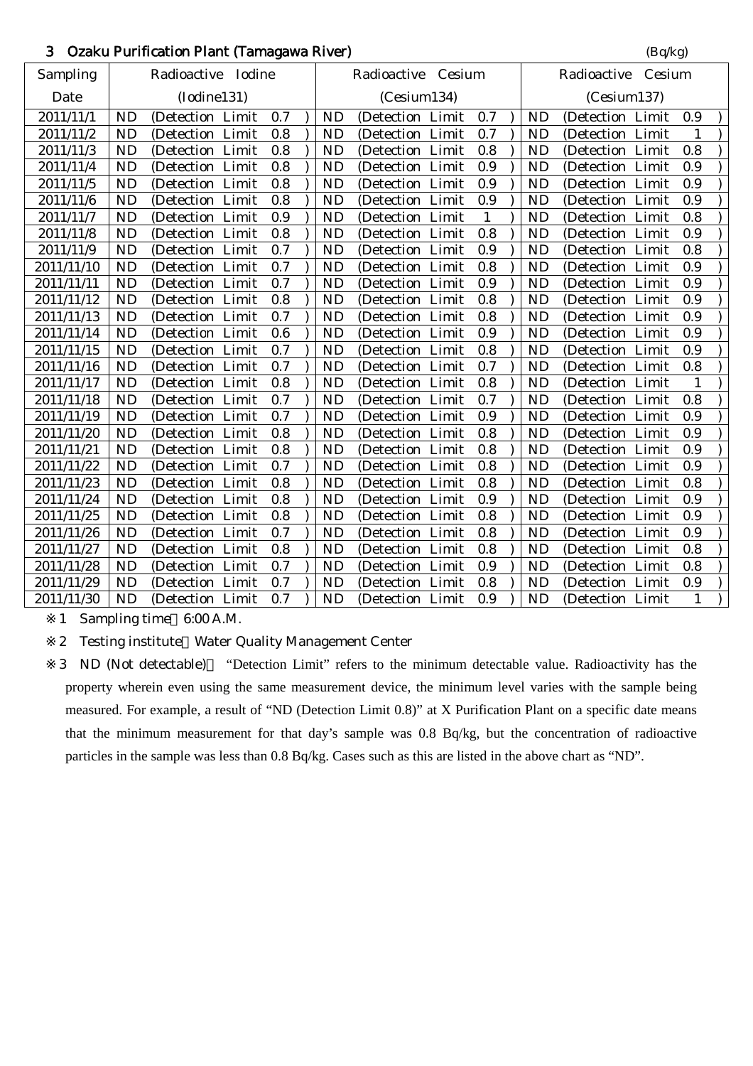# 3 Ozaku Purification Plant (Tamagawa River) (Bq/kg)

| <b>Sampling</b> |                                                                                                                            | Radioactive Iodine     |                                                                                                                                                                                                                                                                                                                                                                                                                                                                                                                                                                                                                      |                                               |           | Radioactive Cesium                                                                                                |                                                                                                                                                                                                                                                                                                                                                                                                                                                                                                                                                                                                                                         |                                        |           | Radioactive Cesium                                                                                                             |              |                                                                                                                                                                                                                                                                                                                                                                                                                                                                                                                                                                                                                                               |
|-----------------|----------------------------------------------------------------------------------------------------------------------------|------------------------|----------------------------------------------------------------------------------------------------------------------------------------------------------------------------------------------------------------------------------------------------------------------------------------------------------------------------------------------------------------------------------------------------------------------------------------------------------------------------------------------------------------------------------------------------------------------------------------------------------------------|-----------------------------------------------|-----------|-------------------------------------------------------------------------------------------------------------------|-----------------------------------------------------------------------------------------------------------------------------------------------------------------------------------------------------------------------------------------------------------------------------------------------------------------------------------------------------------------------------------------------------------------------------------------------------------------------------------------------------------------------------------------------------------------------------------------------------------------------------------------|----------------------------------------|-----------|--------------------------------------------------------------------------------------------------------------------------------|--------------|-----------------------------------------------------------------------------------------------------------------------------------------------------------------------------------------------------------------------------------------------------------------------------------------------------------------------------------------------------------------------------------------------------------------------------------------------------------------------------------------------------------------------------------------------------------------------------------------------------------------------------------------------|
| Date            |                                                                                                                            |                        |                                                                                                                                                                                                                                                                                                                                                                                                                                                                                                                                                                                                                      |                                               |           |                                                                                                                   |                                                                                                                                                                                                                                                                                                                                                                                                                                                                                                                                                                                                                                         |                                        |           | (Cesium137)                                                                                                                    |              |                                                                                                                                                                                                                                                                                                                                                                                                                                                                                                                                                                                                                                               |
| 2011/11/1       | <b>ND</b>                                                                                                                  |                        | 0.7                                                                                                                                                                                                                                                                                                                                                                                                                                                                                                                                                                                                                  |                                               | <b>ND</b> |                                                                                                                   | 0.7                                                                                                                                                                                                                                                                                                                                                                                                                                                                                                                                                                                                                                     |                                        | <b>ND</b> |                                                                                                                                | 0.9          |                                                                                                                                                                                                                                                                                                                                                                                                                                                                                                                                                                                                                                               |
| 2011/11/2       | <b>ND</b>                                                                                                                  |                        | 0.8                                                                                                                                                                                                                                                                                                                                                                                                                                                                                                                                                                                                                  |                                               | <b>ND</b> |                                                                                                                   | 0.7                                                                                                                                                                                                                                                                                                                                                                                                                                                                                                                                                                                                                                     |                                        | <b>ND</b> |                                                                                                                                | $\mathbf{1}$ |                                                                                                                                                                                                                                                                                                                                                                                                                                                                                                                                                                                                                                               |
| 2011/11/3       | <b>ND</b>                                                                                                                  |                        | 0.8                                                                                                                                                                                                                                                                                                                                                                                                                                                                                                                                                                                                                  |                                               | <b>ND</b> |                                                                                                                   | 0.8                                                                                                                                                                                                                                                                                                                                                                                                                                                                                                                                                                                                                                     |                                        | <b>ND</b> |                                                                                                                                | 0.8          |                                                                                                                                                                                                                                                                                                                                                                                                                                                                                                                                                                                                                                               |
| 2011/11/4       | <b>ND</b>                                                                                                                  |                        | 0.8                                                                                                                                                                                                                                                                                                                                                                                                                                                                                                                                                                                                                  |                                               | <b>ND</b> |                                                                                                                   | 0.9                                                                                                                                                                                                                                                                                                                                                                                                                                                                                                                                                                                                                                     |                                        | <b>ND</b> |                                                                                                                                | 0.9          |                                                                                                                                                                                                                                                                                                                                                                                                                                                                                                                                                                                                                                               |
| 2011/11/5       | <b>ND</b>                                                                                                                  |                        | 0.8                                                                                                                                                                                                                                                                                                                                                                                                                                                                                                                                                                                                                  |                                               | <b>ND</b> |                                                                                                                   | 0.9                                                                                                                                                                                                                                                                                                                                                                                                                                                                                                                                                                                                                                     |                                        | ND        |                                                                                                                                | 0.9          |                                                                                                                                                                                                                                                                                                                                                                                                                                                                                                                                                                                                                                               |
| 2011/11/6       | <b>ND</b>                                                                                                                  |                        | 0.8                                                                                                                                                                                                                                                                                                                                                                                                                                                                                                                                                                                                                  |                                               | <b>ND</b> |                                                                                                                   | 0.9                                                                                                                                                                                                                                                                                                                                                                                                                                                                                                                                                                                                                                     |                                        | <b>ND</b> |                                                                                                                                | 0.9          |                                                                                                                                                                                                                                                                                                                                                                                                                                                                                                                                                                                                                                               |
| 2011/11/7       | <b>ND</b>                                                                                                                  |                        | 0.9                                                                                                                                                                                                                                                                                                                                                                                                                                                                                                                                                                                                                  |                                               | <b>ND</b> |                                                                                                                   | $\mathbf{1}$                                                                                                                                                                                                                                                                                                                                                                                                                                                                                                                                                                                                                            |                                        | <b>ND</b> |                                                                                                                                | 0.8          |                                                                                                                                                                                                                                                                                                                                                                                                                                                                                                                                                                                                                                               |
| 2011/11/8       | <b>ND</b>                                                                                                                  |                        | 0.8                                                                                                                                                                                                                                                                                                                                                                                                                                                                                                                                                                                                                  |                                               | <b>ND</b> |                                                                                                                   | 0.8                                                                                                                                                                                                                                                                                                                                                                                                                                                                                                                                                                                                                                     |                                        | <b>ND</b> |                                                                                                                                | 0.9          |                                                                                                                                                                                                                                                                                                                                                                                                                                                                                                                                                                                                                                               |
| 2011/11/9       | <b>ND</b>                                                                                                                  |                        | 0.7                                                                                                                                                                                                                                                                                                                                                                                                                                                                                                                                                                                                                  |                                               | <b>ND</b> |                                                                                                                   | 0.9                                                                                                                                                                                                                                                                                                                                                                                                                                                                                                                                                                                                                                     |                                        | <b>ND</b> |                                                                                                                                | 0.8          |                                                                                                                                                                                                                                                                                                                                                                                                                                                                                                                                                                                                                                               |
|                 | <b>ND</b>                                                                                                                  |                        | 0.7                                                                                                                                                                                                                                                                                                                                                                                                                                                                                                                                                                                                                  |                                               | <b>ND</b> |                                                                                                                   | 0.8                                                                                                                                                                                                                                                                                                                                                                                                                                                                                                                                                                                                                                     |                                        |           |                                                                                                                                | 0.9          |                                                                                                                                                                                                                                                                                                                                                                                                                                                                                                                                                                                                                                               |
| 2011/11/11      | <b>ND</b>                                                                                                                  |                        | 0.7                                                                                                                                                                                                                                                                                                                                                                                                                                                                                                                                                                                                                  |                                               | <b>ND</b> |                                                                                                                   | 0.9                                                                                                                                                                                                                                                                                                                                                                                                                                                                                                                                                                                                                                     |                                        | <b>ND</b> |                                                                                                                                | 0.9          |                                                                                                                                                                                                                                                                                                                                                                                                                                                                                                                                                                                                                                               |
| 2011/11/12      | <b>ND</b>                                                                                                                  |                        | 0.8                                                                                                                                                                                                                                                                                                                                                                                                                                                                                                                                                                                                                  |                                               | <b>ND</b> |                                                                                                                   | 0.8                                                                                                                                                                                                                                                                                                                                                                                                                                                                                                                                                                                                                                     |                                        | ND        |                                                                                                                                | 0.9          |                                                                                                                                                                                                                                                                                                                                                                                                                                                                                                                                                                                                                                               |
|                 | <b>ND</b>                                                                                                                  |                        | 0.7                                                                                                                                                                                                                                                                                                                                                                                                                                                                                                                                                                                                                  |                                               |           |                                                                                                                   |                                                                                                                                                                                                                                                                                                                                                                                                                                                                                                                                                                                                                                         |                                        |           |                                                                                                                                | 0.9          |                                                                                                                                                                                                                                                                                                                                                                                                                                                                                                                                                                                                                                               |
| 2011/11/14      | <b>ND</b>                                                                                                                  |                        |                                                                                                                                                                                                                                                                                                                                                                                                                                                                                                                                                                                                                      |                                               | <b>ND</b> |                                                                                                                   |                                                                                                                                                                                                                                                                                                                                                                                                                                                                                                                                                                                                                                         |                                        | <b>ND</b> |                                                                                                                                | 0.9          |                                                                                                                                                                                                                                                                                                                                                                                                                                                                                                                                                                                                                                               |
| 2011/11/15      | <b>ND</b>                                                                                                                  |                        | 0.7                                                                                                                                                                                                                                                                                                                                                                                                                                                                                                                                                                                                                  |                                               | <b>ND</b> |                                                                                                                   | 0.8                                                                                                                                                                                                                                                                                                                                                                                                                                                                                                                                                                                                                                     |                                        | <b>ND</b> |                                                                                                                                | 0.9          |                                                                                                                                                                                                                                                                                                                                                                                                                                                                                                                                                                                                                                               |
|                 | <b>ND</b>                                                                                                                  |                        | 0.7                                                                                                                                                                                                                                                                                                                                                                                                                                                                                                                                                                                                                  |                                               |           |                                                                                                                   | 0.7                                                                                                                                                                                                                                                                                                                                                                                                                                                                                                                                                                                                                                     |                                        |           |                                                                                                                                | 0.8          |                                                                                                                                                                                                                                                                                                                                                                                                                                                                                                                                                                                                                                               |
|                 | <b>ND</b>                                                                                                                  |                        |                                                                                                                                                                                                                                                                                                                                                                                                                                                                                                                                                                                                                      |                                               |           |                                                                                                                   |                                                                                                                                                                                                                                                                                                                                                                                                                                                                                                                                                                                                                                         |                                        |           |                                                                                                                                | $\mathbf{1}$ |                                                                                                                                                                                                                                                                                                                                                                                                                                                                                                                                                                                                                                               |
| 2011/11/18      | <b>ND</b>                                                                                                                  |                        | 0.7                                                                                                                                                                                                                                                                                                                                                                                                                                                                                                                                                                                                                  |                                               | ND        |                                                                                                                   | 0.7                                                                                                                                                                                                                                                                                                                                                                                                                                                                                                                                                                                                                                     |                                        | <b>ND</b> |                                                                                                                                | 0.8          |                                                                                                                                                                                                                                                                                                                                                                                                                                                                                                                                                                                                                                               |
|                 |                                                                                                                            |                        | 0.7                                                                                                                                                                                                                                                                                                                                                                                                                                                                                                                                                                                                                  |                                               |           |                                                                                                                   | 0.9                                                                                                                                                                                                                                                                                                                                                                                                                                                                                                                                                                                                                                     |                                        |           |                                                                                                                                | 0.9          |                                                                                                                                                                                                                                                                                                                                                                                                                                                                                                                                                                                                                                               |
| 2011/11/20      | <b>ND</b>                                                                                                                  |                        | 0.8                                                                                                                                                                                                                                                                                                                                                                                                                                                                                                                                                                                                                  |                                               | <b>ND</b> |                                                                                                                   | 0.8                                                                                                                                                                                                                                                                                                                                                                                                                                                                                                                                                                                                                                     |                                        | <b>ND</b> |                                                                                                                                | 0.9          |                                                                                                                                                                                                                                                                                                                                                                                                                                                                                                                                                                                                                                               |
| 2011/11/21      | <b>ND</b>                                                                                                                  |                        | 0.8                                                                                                                                                                                                                                                                                                                                                                                                                                                                                                                                                                                                                  |                                               |           |                                                                                                                   | 0.8                                                                                                                                                                                                                                                                                                                                                                                                                                                                                                                                                                                                                                     |                                        |           |                                                                                                                                | 0.9          |                                                                                                                                                                                                                                                                                                                                                                                                                                                                                                                                                                                                                                               |
|                 | <b>ND</b>                                                                                                                  |                        | 0.7                                                                                                                                                                                                                                                                                                                                                                                                                                                                                                                                                                                                                  |                                               |           |                                                                                                                   |                                                                                                                                                                                                                                                                                                                                                                                                                                                                                                                                                                                                                                         |                                        |           |                                                                                                                                | 0.9          |                                                                                                                                                                                                                                                                                                                                                                                                                                                                                                                                                                                                                                               |
|                 | <b>ND</b>                                                                                                                  |                        | 0.8                                                                                                                                                                                                                                                                                                                                                                                                                                                                                                                                                                                                                  |                                               |           |                                                                                                                   | 0.8                                                                                                                                                                                                                                                                                                                                                                                                                                                                                                                                                                                                                                     |                                        |           |                                                                                                                                | 0.8          |                                                                                                                                                                                                                                                                                                                                                                                                                                                                                                                                                                                                                                               |
| 2011/11/24      | <b>ND</b>                                                                                                                  |                        | 0.8                                                                                                                                                                                                                                                                                                                                                                                                                                                                                                                                                                                                                  |                                               | <b>ND</b> |                                                                                                                   | 0.9                                                                                                                                                                                                                                                                                                                                                                                                                                                                                                                                                                                                                                     |                                        | <b>ND</b> |                                                                                                                                | 0.9          |                                                                                                                                                                                                                                                                                                                                                                                                                                                                                                                                                                                                                                               |
|                 | <b>ND</b>                                                                                                                  |                        |                                                                                                                                                                                                                                                                                                                                                                                                                                                                                                                                                                                                                      |                                               |           |                                                                                                                   |                                                                                                                                                                                                                                                                                                                                                                                                                                                                                                                                                                                                                                         |                                        |           |                                                                                                                                | 0.9          |                                                                                                                                                                                                                                                                                                                                                                                                                                                                                                                                                                                                                                               |
| 2011/11/26      | <b>ND</b>                                                                                                                  |                        | 0.7                                                                                                                                                                                                                                                                                                                                                                                                                                                                                                                                                                                                                  |                                               | <b>ND</b> |                                                                                                                   | 0.8                                                                                                                                                                                                                                                                                                                                                                                                                                                                                                                                                                                                                                     |                                        | <b>ND</b> |                                                                                                                                | 0.9          |                                                                                                                                                                                                                                                                                                                                                                                                                                                                                                                                                                                                                                               |
|                 |                                                                                                                            |                        |                                                                                                                                                                                                                                                                                                                                                                                                                                                                                                                                                                                                                      |                                               |           |                                                                                                                   |                                                                                                                                                                                                                                                                                                                                                                                                                                                                                                                                                                                                                                         |                                        |           |                                                                                                                                |              |                                                                                                                                                                                                                                                                                                                                                                                                                                                                                                                                                                                                                                               |
| 2011/11/28      | <b>ND</b>                                                                                                                  |                        | 0.7                                                                                                                                                                                                                                                                                                                                                                                                                                                                                                                                                                                                                  |                                               | ND        |                                                                                                                   | 0.9                                                                                                                                                                                                                                                                                                                                                                                                                                                                                                                                                                                                                                     |                                        | ND        |                                                                                                                                | 0.8          |                                                                                                                                                                                                                                                                                                                                                                                                                                                                                                                                                                                                                                               |
| 2011/11/29      | <b>ND</b>                                                                                                                  |                        | 0.7                                                                                                                                                                                                                                                                                                                                                                                                                                                                                                                                                                                                                  |                                               | <b>ND</b> |                                                                                                                   | 0.8                                                                                                                                                                                                                                                                                                                                                                                                                                                                                                                                                                                                                                     |                                        | <b>ND</b> |                                                                                                                                | 0.9          |                                                                                                                                                                                                                                                                                                                                                                                                                                                                                                                                                                                                                                               |
| 2011/11/30      | ND                                                                                                                         |                        | 0.7                                                                                                                                                                                                                                                                                                                                                                                                                                                                                                                                                                                                                  |                                               | <b>ND</b> |                                                                                                                   | 0.9                                                                                                                                                                                                                                                                                                                                                                                                                                                                                                                                                                                                                                     |                                        | <b>ND</b> |                                                                                                                                | $\mathbf{1}$ |                                                                                                                                                                                                                                                                                                                                                                                                                                                                                                                                                                                                                                               |
|                 | 2011/11/10<br>2011/11/13<br>2011/11/16<br>2011/11/17<br>2011/11/19<br>2011/11/22<br>2011/11/23<br>2011/11/25<br>2011/11/27 | <b>ND</b><br><b>ND</b> | (Iodine131)<br>(Detection Limit)<br>(Detection Limit<br>(Detection Limit<br>(Detection Limit)<br>(Detection Limit)<br>(Detection Limit<br>(Detection Limit<br>(Detection Limit<br>(Detection Limit<br>(Detection Limit<br>(Detection Limit)<br>(Detection Limit<br>(Detection Limit<br>(Detection Limit<br>(Detection Limit<br>(Detection Limit)<br>(Detection Limit<br>(Detection Limit<br>(Detection Limit<br>(Detection Limit<br>(Detection Limit<br>(Detection Limit<br>(Detection Limit<br>(Detection Limit<br>(Detection Limit<br>(Detection Limit<br>(Detection Limit<br>(Detection Limit<br>(Detection Limit | 0.6<br>0.8<br>0.8<br>0.8<br>(Detection Limit) |           | <b>ND</b><br><b>ND</b><br><b>ND</b><br><b>ND</b><br><b>ND</b><br><b>ND</b><br><b>ND</b><br><b>ND</b><br><b>ND</b> | (Cesium134)<br>(Detection Limit)<br>(Detection Limit<br>(Detection Limit<br>(Detection Limit<br>(Detection Limit)<br>(Detection Limit<br>(Detection Limit<br>(Detection Limit<br>(Detection Limit<br>(Detection Limit<br>(Detection Limit<br>(Detection Limit<br>(Detection Limit<br>(Detection Limit<br>(Detection Limit<br>(Detection Limit)<br>(Detection Limit<br>(Detection Limit<br>(Detection Limit<br>(Detection Limit<br>(Detection Limit<br>(Detection Limit<br>(Detection Limit<br>(Detection Limit<br>(Detection Limit<br>(Detection Limit<br>(Detection Limit<br>(Detection Limit<br>(Detection Limit<br>(Detection Limit) | 0.8<br>0.9<br>0.8<br>0.8<br>0.8<br>0.8 |           | <b>ND</b><br><b>ND</b><br><b>ND</b><br><b>ND</b><br><b>ND</b><br><b>ND</b><br><b>ND</b><br><b>ND</b><br><b>ND</b><br><b>ND</b> |              | (Detection Limit)<br>(Detection Limit<br>(Detection Limit<br>(Detection Limit)<br>(Detection Limit)<br>(Detection Limit)<br>(Detection Limit<br>(Detection Limit)<br>(Detection Limit)<br>(Detection Limit)<br>(Detection Limit)<br>(Detection Limit)<br>(Detection Limit<br>(Detection Limit)<br>(Detection Limit)<br>(Detection Limit)<br>(Detection Limit<br>(Detection Limit<br>(Detection Limit<br>(Detection Limit)<br>(Detection Limit)<br>(Detection Limit<br>(Detection Limit<br>(Detection Limit<br>(Detection Limit<br>(Detection Limit)<br>(Detection Limit)<br>0.8<br>(Detection Limit)<br>(Detection Limit)<br>(Detection Limit |

1 Sampling time 6:00 A.M.

2 Testing institute Water Quality Management Center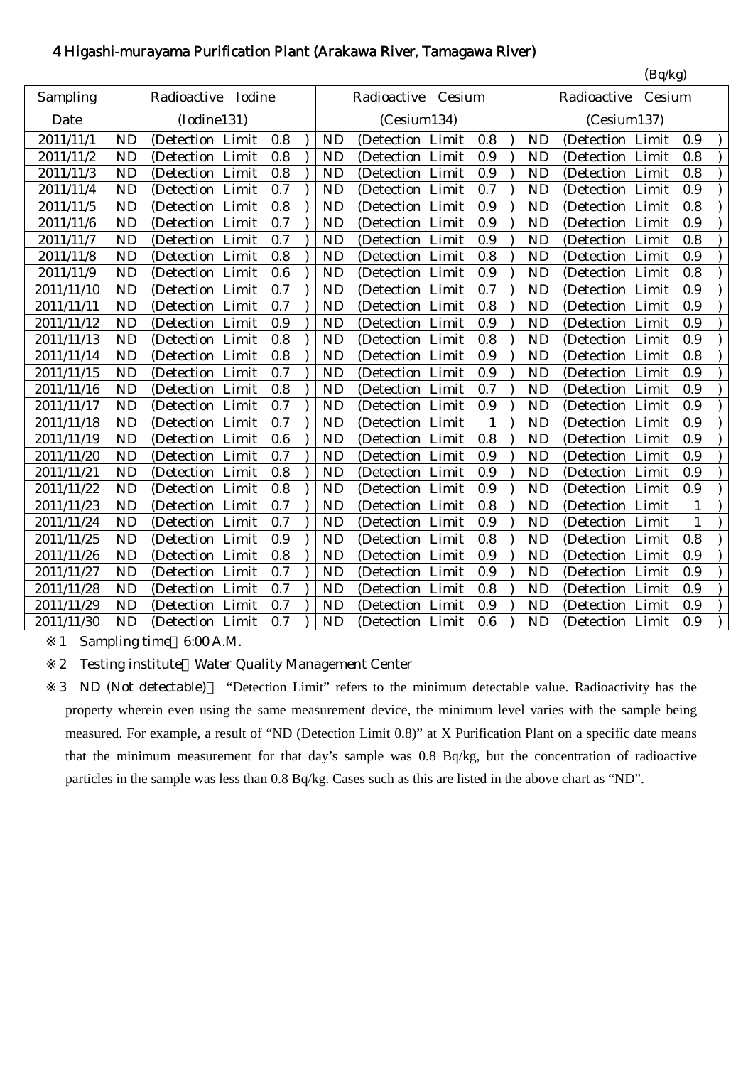# 4 Higashi-murayama Purification Plant (Arakawa River, Tamagawa River)

|            |           |                       |     |           |                      |              |           | (Bq/kg)               |              |
|------------|-----------|-----------------------|-----|-----------|----------------------|--------------|-----------|-----------------------|--------------|
| Sampling   |           | Radioactive<br>Iodine |     |           | Radioactive Cesium   |              |           | Radioactive<br>Cesium |              |
| Date       |           | (Iodine131)           |     |           | (Cesium134)          |              |           | (Cesium137)           |              |
| 2011/11/1  | <b>ND</b> | (Detection Limit      | 0.8 | <b>ND</b> | (Detection Limit     | 0.8          | <b>ND</b> | (Detection Limit      | 0.9          |
| 2011/11/2  | <b>ND</b> | (Detection Limit      | 0.8 | <b>ND</b> | Limit<br>(Detection  | 0.9          | <b>ND</b> | Limit<br>(Detection)  | 0.8          |
| 2011/11/3  | <b>ND</b> | (Detection Limit      | 0.8 | <b>ND</b> | Limit<br>(Detection  | 0.9          | <b>ND</b> | Limit<br>(Detection   | 0.8          |
| 2011/11/4  | <b>ND</b> | (Detection Limit      | 0.7 | <b>ND</b> | (Detection<br>Limit  | 0.7          | <b>ND</b> | Limit<br>(Detection   | 0.9          |
| 2011/11/5  | <b>ND</b> | (Detection Limit      | 0.8 | <b>ND</b> | Limit<br>(Detection  | 0.9          | <b>ND</b> | (Detection<br>Limit   | 0.8          |
| 2011/11/6  | <b>ND</b> | (Detection Limit      | 0.7 | <b>ND</b> | (Detection Limit     | 0.9          | <b>ND</b> | (Detection Limit      | 0.9          |
| 2011/11/7  | <b>ND</b> | (Detection Limit      | 0.7 | <b>ND</b> | (Detection Limit     | 0.9          | <b>ND</b> | (Detection Limit      | 0.8          |
| 2011/11/8  | <b>ND</b> | (Detection Limit      | 0.8 | <b>ND</b> | (Detection Limit     | 0.8          | <b>ND</b> | (Detection Limit      | 0.9          |
| 2011/11/9  | <b>ND</b> | (Detection Limit      | 0.6 | <b>ND</b> | (Detection Limit     | 0.9          | <b>ND</b> | (Detection Limit      | 0.8          |
| 2011/11/10 | <b>ND</b> | (Detection Limit      | 0.7 | <b>ND</b> | Limit<br>(Detection) | 0.7          | <b>ND</b> | (Detection Limit      | 0.9          |
| 2011/11/11 | <b>ND</b> | (Detection Limit      | 0.7 | <b>ND</b> | (Detection Limit     | 0.8          | <b>ND</b> | (Detection Limit      | 0.9          |
| 2011/11/12 | <b>ND</b> | (Detection Limit      | 0.9 | <b>ND</b> | (Detection Limit     | 0.9          | <b>ND</b> | (Detection Limit      | 0.9          |
| 2011/11/13 | <b>ND</b> | (Detection Limit      | 0.8 | <b>ND</b> | (Detection Limit     | 0.8          | <b>ND</b> | (Detection Limit      | 0.9          |
| 2011/11/14 | <b>ND</b> | (Detection Limit      | 0.8 | <b>ND</b> | (Detection Limit     | 0.9          | <b>ND</b> | (Detection Limit      | 0.8          |
| 2011/11/15 | <b>ND</b> | (Detection Limit      | 0.7 | <b>ND</b> | (Detection Limit     | 0.9          | <b>ND</b> | (Detection Limit      | 0.9          |
| 2011/11/16 | <b>ND</b> | (Detection Limit      | 0.8 | <b>ND</b> | (Detection Limit     | 0.7          | <b>ND</b> | (Detection Limit      | 0.9          |
| 2011/11/17 | <b>ND</b> | (Detection Limit      | 0.7 | <b>ND</b> | (Detection Limit     | 0.9          | <b>ND</b> | (Detection Limit      | 0.9          |
| 2011/11/18 | <b>ND</b> | (Detection Limit      | 0.7 | <b>ND</b> | Limit<br>(Detection) | $\mathbf{1}$ | <b>ND</b> | (Detection Limit      | 0.9          |
| 2011/11/19 | <b>ND</b> | (Detection Limit      | 0.6 | <b>ND</b> | (Detection Limit     | 0.8          | <b>ND</b> | (Detection Limit      | 0.9          |
| 2011/11/20 | <b>ND</b> | (Detection Limit      | 0.7 | <b>ND</b> | Limit<br>(Detection) | 0.9          | <b>ND</b> | (Detection Limit      | 0.9          |
| 2011/11/21 | <b>ND</b> | (Detection Limit      | 0.8 | <b>ND</b> | (Detection Limit     | 0.9          | <b>ND</b> | (Detection Limit      | 0.9          |
| 2011/11/22 | <b>ND</b> | (Detection Limit      | 0.8 | <b>ND</b> | Limit<br>(Detection  | 0.9          | <b>ND</b> | (Detection Limit      | 0.9          |
| 2011/11/23 | <b>ND</b> | (Detection Limit      | 0.7 | ND        | Limit<br>(Detection  | 0.8          | <b>ND</b> | Limit<br>(Detection   | $\mathbf{1}$ |
| 2011/11/24 | <b>ND</b> | (Detection Limit      | 0.7 | <b>ND</b> | Limit<br>(Detection  | 0.9          | <b>ND</b> | Limit<br>(Detection   | $\mathbf{1}$ |
| 2011/11/25 | <b>ND</b> | (Detection Limit      | 0.9 | <b>ND</b> | (Detection<br>Limit  | 0.8          | <b>ND</b> | (Detection Limit      | 0.8          |
| 2011/11/26 | <b>ND</b> | (Detection Limit      | 0.8 | <b>ND</b> | (Detection)<br>Limit | 0.9          | <b>ND</b> | (Detection Limit      | 0.9          |
| 2011/11/27 | <b>ND</b> | (Detection Limit      | 0.7 | <b>ND</b> | (Detection Limit     | 0.9          | <b>ND</b> | (Detection Limit      | 0.9          |
| 2011/11/28 | <b>ND</b> | (Detection Limit      | 0.7 | <b>ND</b> | (Detection Limit     | 0.8          | <b>ND</b> | (Detection Limit      | 0.9          |
| 2011/11/29 | <b>ND</b> | (Detection Limit      | 0.7 | <b>ND</b> | Limit<br>(Detection  | 0.9          | <b>ND</b> | (Detection Limit      | 0.9          |
| 2011/11/30 | <b>ND</b> | (Detection Limit      | 0.7 | <b>ND</b> | (Detection Limit)    | 0.6          | <b>ND</b> | (Detection Limit      | 0.9          |

1 Sampling time 6:00 A.M.

2 Testing institute Water Quality Management Center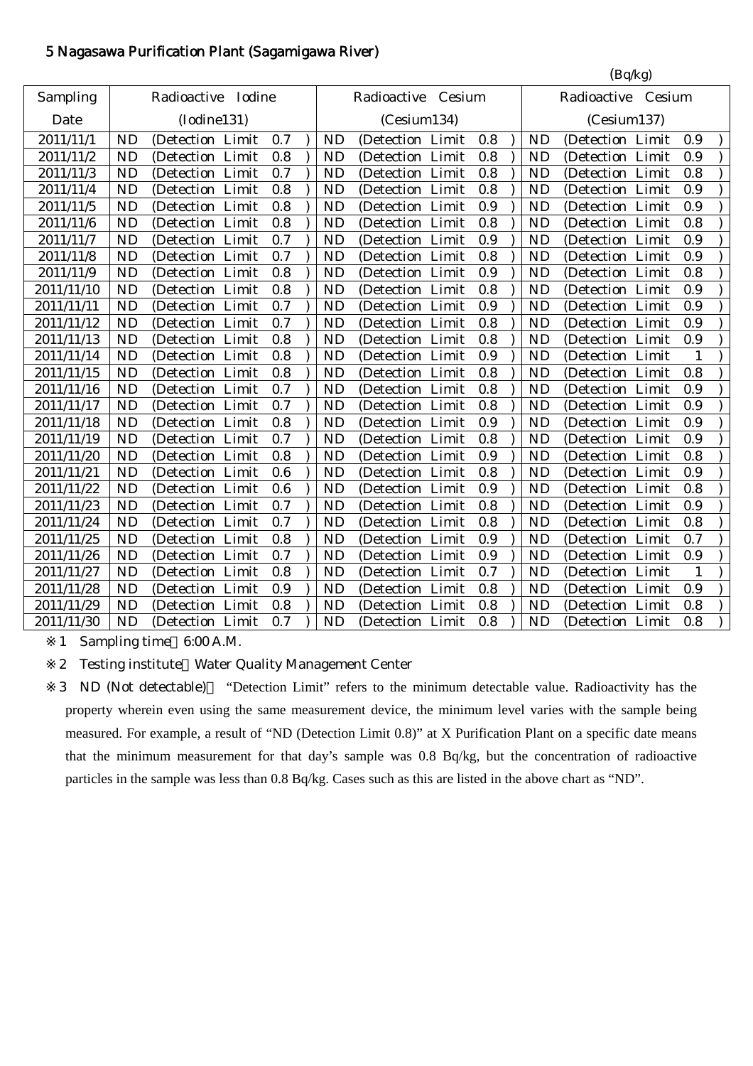# 5 Nagasawa Purification Plant (Sagamigawa River)

|            |           |                    |       |     |           |                    |       |     |           | (Bq/kg)             |       |              |  |
|------------|-----------|--------------------|-------|-----|-----------|--------------------|-------|-----|-----------|---------------------|-------|--------------|--|
| Sampling   |           | Radioactive Iodine |       |     |           | Radioactive Cesium |       |     |           | Radioactive Cesium  |       |              |  |
| Date       |           | (Iodine131)        |       |     |           | (Cesium134)        |       |     |           | (Cesium137)         |       |              |  |
| 2011/11/1  | <b>ND</b> | (Detection Limit   |       | 0.7 | <b>ND</b> | (Detection Limit   |       | 0.8 | <b>ND</b> | (Detection Limit    |       | 0.9          |  |
| 2011/11/2  | <b>ND</b> | (Detection Limit   |       | 0.8 | <b>ND</b> | (Detection         | Limit | 0.8 | <b>ND</b> | (Detection Limit    |       | 0.9          |  |
| 2011/11/3  | <b>ND</b> | (Detection Limit   |       | 0.7 | <b>ND</b> | (Detection         | Limit | 0.8 | <b>ND</b> | (Detection Limit    |       | 0.8          |  |
| 2011/11/4  | <b>ND</b> | (Detection)        | Limit | 0.8 | <b>ND</b> | (Detection)        | Limit | 0.8 | <b>ND</b> | (Detection          | Limit | 0.9          |  |
| 2011/11/5  | <b>ND</b> | (Detection         | Limit | 0.8 | <b>ND</b> | (Detection Limit   |       | 0.9 | <b>ND</b> | (Detection Limit    |       | 0.9          |  |
| 2011/11/6  | <b>ND</b> | (Detection         | Limit | 0.8 | <b>ND</b> | (Detection         | Limit | 0.8 | <b>ND</b> | (Detection          | Limit | 0.8          |  |
| 2011/11/7  | <b>ND</b> | (Detection Limit   |       | 0.7 | <b>ND</b> | (Detection Limit   |       | 0.9 | <b>ND</b> | (Detection Limit    |       | 0.9          |  |
| 2011/11/8  | <b>ND</b> | (Detection Limit   |       | 0.7 | <b>ND</b> | (Detection Limit   |       | 0.8 | <b>ND</b> | (Detection Limit    |       | 0.9          |  |
| 2011/11/9  | <b>ND</b> | (Detection         | Limit | 0.8 | <b>ND</b> | (Detection)        | Limit | 0.9 | <b>ND</b> | (Detection)         | Limit | 0.8          |  |
| 2011/11/10 | <b>ND</b> | (Detection Limit   |       | 0.8 | <b>ND</b> | (Detection         | Limit | 0.8 | <b>ND</b> | (Detection Limit    |       | 0.9          |  |
| 2011/11/11 | <b>ND</b> | (Detection Limit   |       | 0.7 | <b>ND</b> | (Detection)        | Limit | 0.9 | <b>ND</b> | (Detection Limit    |       | 0.9          |  |
| 2011/11/12 | <b>ND</b> | (Detection Limit   |       | 0.7 | <b>ND</b> | (Detection Limit   |       | 0.8 | <b>ND</b> | (Detection Limit    |       | 0.9          |  |
| 2011/11/13 | <b>ND</b> | (Detection Limit   |       | 0.8 | <b>ND</b> | (Detection         | Limit | 0.8 | <b>ND</b> | (Detection Limit    |       | 0.9          |  |
| 2011/11/14 | <b>ND</b> | (Detection         | Limit | 0.8 | <b>ND</b> | (Detection         | Limit | 0.9 | <b>ND</b> | (Detection          | Limit | $\mathbf{1}$ |  |
| 2011/11/15 | <b>ND</b> | (Detection)        | Limit | 0.8 | <b>ND</b> | (Detection Limit   |       | 0.8 | <b>ND</b> | (Detection Limit    |       | 0.8          |  |
| 2011/11/16 | <b>ND</b> | (Detection Limit   |       | 0.7 | <b>ND</b> | (Detection Limit   |       | 0.8 | <b>ND</b> | (Detection Limit    |       | 0.9          |  |
| 2011/11/17 | <b>ND</b> | (Detection Limit   |       | 0.7 | <b>ND</b> | (Detection Limit   |       | 0.8 | <b>ND</b> | (Detection Limit    |       | 0.9          |  |
| 2011/11/18 | <b>ND</b> | (Detection Limit   |       | 0.8 | <b>ND</b> | (Detection Limit   |       | 0.9 | <b>ND</b> | (Detection Limit    |       | 0.9          |  |
| 2011/11/19 | <b>ND</b> | (Detection Limit   |       | 0.7 | <b>ND</b> | (Detection Limit   |       | 0.8 | <b>ND</b> | (Detection Limit    |       | 0.9          |  |
| 2011/11/20 | <b>ND</b> | (Detection         | Limit | 0.8 | <b>ND</b> | (Detection Limit   |       | 0.9 | <b>ND</b> | (Detection Limit    |       | 0.8          |  |
| 2011/11/21 | <b>ND</b> | (Detection Limit   |       | 0.6 | <b>ND</b> | (Detection Limit   |       | 0.8 | <b>ND</b> | (Detection Limit    |       | 0.9          |  |
| 2011/11/22 | <b>ND</b> | (Detection Limit   |       | 0.6 | <b>ND</b> | (Detection Limit   |       | 0.9 | <b>ND</b> | (Detection Limit    |       | 0.8          |  |
| 2011/11/23 | <b>ND</b> | (Detection Limit   |       | 0.7 | <b>ND</b> | (Detection Limit   |       | 0.8 | <b>ND</b> | (Detection Limit    |       | 0.9          |  |
| 2011/11/24 | <b>ND</b> | (Detection         | Limit | 0.7 | <b>ND</b> | (Detection         | Limit | 0.8 | <b>ND</b> | Limit<br>(Detection |       | 0.8          |  |
| 2011/11/25 | <b>ND</b> | (Detection         | Limit | 0.8 | <b>ND</b> | (Detection         | Limit | 0.9 | <b>ND</b> | (Detection          | Limit | 0.7          |  |
| 2011/11/26 | <b>ND</b> | (Detection         | Limit | 0.7 | <b>ND</b> | (Detection         | Limit | 0.9 | <b>ND</b> | (Detection Limit    |       | 0.9          |  |
| 2011/11/27 | <b>ND</b> | (Detection Limit   |       | 0.8 | <b>ND</b> | (Detection Limit   |       | 0.7 | <b>ND</b> | (Detection Limit    |       | 1            |  |
| 2011/11/28 | <b>ND</b> | (Detection Limit   |       | 0.9 | <b>ND</b> | (Detection Limit   |       | 0.8 | <b>ND</b> | (Detection Limit    |       | 0.9          |  |
| 2011/11/29 | <b>ND</b> | (Detection Limit   |       | 0.8 | <b>ND</b> | (Detection)        | Limit | 0.8 | <b>ND</b> | (Detection Limit    |       | 0.8          |  |
| 2011/11/30 | <b>ND</b> | (Detection Limit   |       | 0.7 | <b>ND</b> | (Detection Limit   |       | 0.8 | <b>ND</b> | (Detection Limit    |       | 0.8          |  |

1 Sampling time 6:00 A.M.

2 Testing institute Water Quality Management Center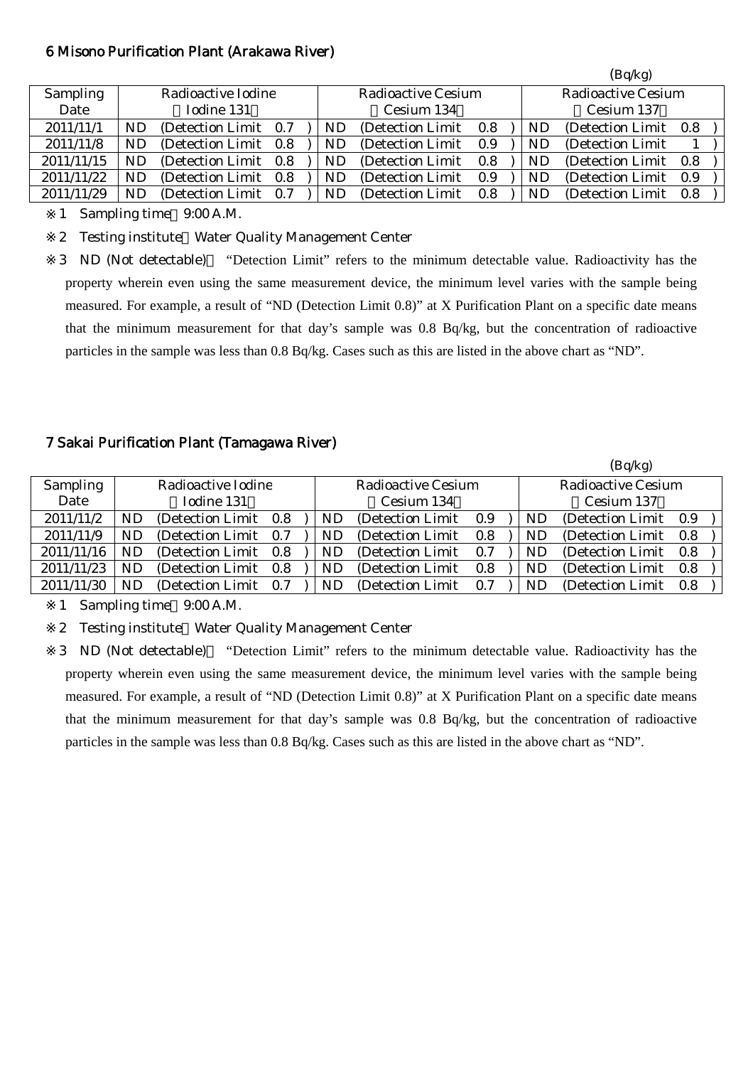#### 6 Misono Purification Plant (Arakawa River)

|                 |     |                       |     |    |                    |     |    | (Bq/kg)                   |     |  |
|-----------------|-----|-----------------------|-----|----|--------------------|-----|----|---------------------------|-----|--|
| <b>Sampling</b> |     | Radioactive Iodine    |     |    | Radioactive Cesium |     |    | <b>Radioactive Cesium</b> |     |  |
| Date            |     | Iodine 131            |     |    | Cesium 134         |     |    | Cesium 137                |     |  |
| 2011/11/1       | ND  | (Detection Limit 0.7) |     | ND | (Detection Limit)  | 0.8 | ND | (Detection Limit)         | 0.8 |  |
| 2011/11/8       | ND. | (Detection Limit 0.8) |     | ND | (Detection Limit)  | 0.9 | ND | (Detection Limit)         |     |  |
| 2011/11/15      | ND. | (Detection Limit 0.8) |     | ND | (Detection Limit)  | 0.8 | ND | (Detection Limit)         | 0.8 |  |
| 2011/11/22      | ND  | (Detection Limit 0.8) |     | ND | (Detection Limit)  | 0.9 | ND | (Detection Limit)         | 0.9 |  |
| 2011/11/29      | ND  | (Detection Limit)     | 0.7 | ND | (Detection Limit)  | 0.8 | ND | (Detection Limit)         | 0.8 |  |

1 Sampling time 9:00 A.M.

2 Testing institute Water Quality Management Center

3 ND (Not detectable) "Detection Limit" refers to the minimum detectable value. Radioactivity has the property wherein even using the same measurement device, the minimum level varies with the sample being measured. For example, a result of "ND (Detection Limit 0.8)" at X Purification Plant on a specific date means that the minimum measurement for that day's sample was 0.8 Bq/kg, but the concentration of radioactive particles in the sample was less than 0.8 Bq/kg. Cases such as this are listed in the above chart as "ND".

## 7 Sakai Purification Plant (Tamagawa River)

|                 |     |                       |  |           |                           |     |           | (Bq/kg)                   |     |
|-----------------|-----|-----------------------|--|-----------|---------------------------|-----|-----------|---------------------------|-----|
| <b>Sampling</b> |     | Radioactive Iodine    |  |           | <b>Radioactive Cesium</b> |     |           | <b>Radioactive Cesium</b> |     |
| Date            |     | Iodine 131            |  |           | Cesium 134                |     |           | Cesium 137                |     |
| 2011/11/2       | ND. | (Detection Limit 0.8) |  | ND        | (Detection Limit 0.9)     |     | <b>ND</b> | (Detection Limit 0.9)     |     |
| 2011/11/9       | ND. | (Detection Limit 0.7) |  | <b>ND</b> | (Detection Limit)         | 0.8 | <b>ND</b> | (Detection Limit 0.8)     |     |
| 2011/11/16      | ND  | (Detection Limit 0.8) |  | ND        | (Detection Limit)         | 0.7 | ND.       | (Detection Limit)         | 0.8 |
| 2011/11/23      | ND  | (Detection Limit 0.8) |  | ND        | (Detection Limit)         | 0.8 | <b>ND</b> | (Detection Limit)         | 0.8 |
| 2011/11/30      | ND. | (Detection Limit 0.7) |  | ND        | (Detection Limit)         | 0.7 | ND        | (Detection Limit)         | 0.8 |

1 Sampling time 9:00 A.M.

2 Testing institute Water Quality Management Center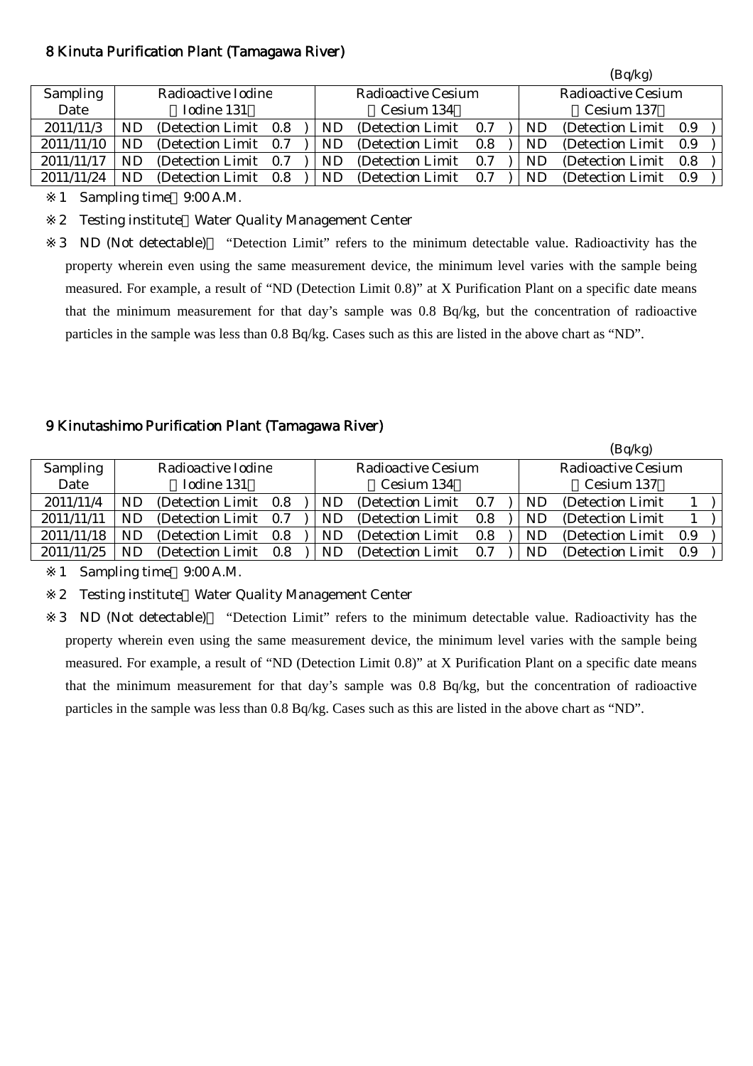## 8 Kinuta Purification Plant (Tamagawa River)

|                 |    |                       |     |    |                    |     |    | (Bq/kg)            |     |
|-----------------|----|-----------------------|-----|----|--------------------|-----|----|--------------------|-----|
| <b>Sampling</b> |    | Radioactive Iodine    |     |    | Radioactive Cesium |     |    | Radioactive Cesium |     |
| Date            |    | Iodine 131            |     |    | Cesium 134         |     |    | Cesium 137         |     |
| 2011/11/3       | ND | (Detection Limit 0.8) |     | ND | (Detection Limit)  | 0.7 | ND | (Detection Limit)  | 0.9 |
| 2011/11/10      |    | (Detection Limit)     | 0.7 | ND | (Detection Limit)  | 0.8 | ND | (Detection Limit)  | 0.9 |
| 2011/11/17      | ND | (Detection Limit)     | 0.7 | ND | (Detection Limit)  | 0.7 | ND | (Detection Limit)  | 0.8 |
| 2011/11/24      | ND | (Detection Limit)     | 0.8 | ND | (Detection Limit)  | 0.7 | ND | (Detection Limit)  | 0.9 |

1 Sampling time 9:00 A.M.

2 Testing institute Water Quality Management Center

3 ND (Not detectable) "Detection Limit" refers to the minimum detectable value. Radioactivity has the property wherein even using the same measurement device, the minimum level varies with the sample being measured. For example, a result of "ND (Detection Limit 0.8)" at X Purification Plant on a specific date means that the minimum measurement for that day's sample was 0.8 Bq/kg, but the concentration of radioactive particles in the sample was less than 0.8 Bq/kg. Cases such as this are listed in the above chart as "ND".

## 9 Kinutashimo Purification Plant (Tamagawa River)

|                 |    |                       |     |     |                    |     |           | (Bq/kg)                   |     |  |
|-----------------|----|-----------------------|-----|-----|--------------------|-----|-----------|---------------------------|-----|--|
| <b>Sampling</b> |    | Radioactive Iodine    |     |     | Radioactive Cesium |     |           | <b>Radioactive Cesium</b> |     |  |
| Date            |    | Iodine 131            |     |     | Cesium 134         |     |           | Cesium 137                |     |  |
| 2011/11/4       | ND | (Detection Limit 0.8) |     | ND  | (Detection Limit)  | 0.7 | ND        | (Detection Limit)         |     |  |
| 2011/11/11      | ND | (Detection Limit 0.7) |     | ND  | (Detection Limit)  | 0.8 | ND        | (Detection Limit)         |     |  |
| 2011/11/18      | ND | (Detection Limit 0.8) |     | ND. | (Detection Limit)  | 0.8 | <b>ND</b> | (Detection Limit)         | 0.9 |  |
| 2011/11/25      | ND | (Detection Limit)     | 0.8 | ND  | (Detection Limit)  | 0.7 | <b>ND</b> | (Detection Limit)         | 0.9 |  |

1 Sampling time 9:00 A.M.

2 Testing institute Water Quality Management Center